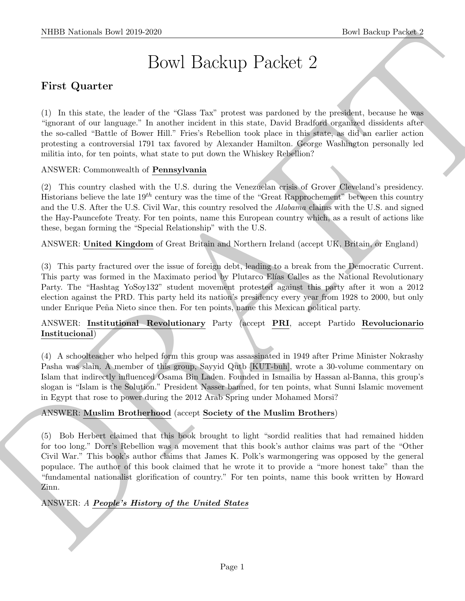# Bowl Backup Packet 2

# First Quarter

(1) In this state, the leader of the "Glass Tax" protest was pardoned by the president, because he was "ignorant of our language." In another incident in this state, David Bradford organized dissidents after the so-called "Battle of Bower Hill." Fries's Rebellion took place in this state, as did an earlier action protesting a controversial 1791 tax favored by Alexander Hamilton. George Washington personally led militia into, for ten points, what state to put down the Whiskey Rebellion?

## ANSWER: Commonwealth of Pennsylvania

(2) This country clashed with the U.S. during the Venezuelan crisis of Grover Cleveland's presidency. Historians believe the late  $19^{th}$  century was the time of the "Great Rapprochement" between this country and the U.S. After the U.S. Civil War, this country resolved the *Alabama* claims with the U.S. and signed the Hay-Pauncefote Treaty. For ten points, name this European country which, as a result of actions like these, began forming the "Special Relationship" with the U.S.

ANSWER: United Kingdom of Great Britain and Northern Ireland (accept UK, Britain, or England)

(3) This party fractured over the issue of foreign debt, leading to a break from the Democratic Current. This party was formed in the Maximato period by Plutarco Elías Calles as the National Revolutionary Party. The "Hashtag YoSoy132" student movement protested against this party after it won a 2012 election against the PRD. This party held its nation's presidency every year from 1928 to 2000, but only under Enrique Peña Nieto since then. For ten points, name this Mexican political party.

## ANSWER: Institutional Revolutionary Party (accept PRI, accept Partido Revolucionario Institucional)

(4) A schoolteacher who helped form this group was assassinated in 1949 after Prime Minister Nokrashy Pasha was slain. A member of this group, Sayyid Qutb [KUT-buh], wrote a 30-volume commentary on Islam that indirectly influenced Osama Bin Laden. Founded in Ismailia by Hassan al-Banna, this group's slogan is "Islam is the Solution." President Nasser banned, for ten points, what Sunni Islamic movement in Egypt that rose to power during the 2012 Arab Spring under Mohamed Morsi?

## ANSWER: Muslim Brotherhood (accept Society of the Muslim Brothers)

SIIDE Notional- their 2019-2020<br>
Devel the<br>distribution of the Cost Tax process we protect to the protection control<br>
This finds control is the base of the cost of the protection in the set of the protection is controlled (5) Bob Herbert claimed that this book brought to light "sordid realities that had remained hidden for too long." Dorr's Rebellion was a movement that this book's author claims was part of the "Other Civil War." This book's author claims that James K. Polk's warmongering was opposed by the general populace. The author of this book claimed that he wrote it to provide a "more honest take" than the "fundamental nationalist glorification of country." For ten points, name this book written by Howard Zinn.

## ANSWER: A People's History of the United States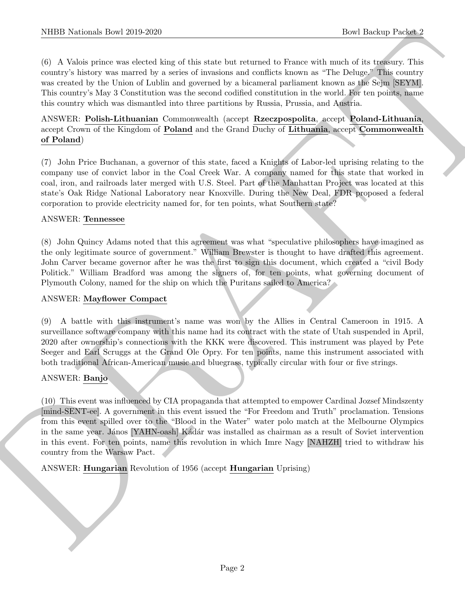(6) A Valois prince was elected king of this state but returned to France with much of its treasury. This country's history was marred by a series of invasions and conflicts known as "The Deluge." This country was created by the Union of Lublin and governed by a bicameral parliament known as the Sejm [SEYM]. This country's May 3 Constitution was the second codified constitution in the world. For ten points, name this country which was dismantled into three partitions by Russia, Prussia, and Austria.

## ANSWER: Polish-Lithuanian Commonwealth (accept Rzeczpospolita, accept Poland-Lithuania, accept Crown of the Kingdom of Poland and the Grand Duchy of Lithuania, accept Commonwealth of Poland)

(7) John Price Buchanan, a governor of this state, faced a Knights of Labor-led uprising relating to the company use of convict labor in the Coal Creek War. A company named for this state that worked in coal, iron, and railroads later merged with U.S. Steel. Part of the Manhattan Project was located at this state's Oak Ridge National Laboratory near Knoxville. During the New Deal, FDR proposed a federal corporation to provide electricity named for, for ten points, what Southern state?

#### ANSWER: Tennessee

(8) John Quincy Adams noted that this agreement was what "speculative philosophers have imagined as the only legitimate source of government." William Brewster is thought to have drafted this agreement. John Carver became governor after he was the first to sign this document, which created a "civil Body Politick." William Bradford was among the signers of, for ten points, what governing document of Plymouth Colony, named for the ship on which the Puritans sailed to America?

#### ANSWER: Mayflower Compact

(9) A battle with this instrument's name was won by the Allies in Central Cameroon in 1915. A surveillance software company with this name had its contract with the state of Utah suspended in April, 2020 after ownership's connections with the KKK were discovered. This instrument was played by Pete Seeger and Earl Scruggs at the Grand Ole Opry. For ten points, name this instrument associated with both traditional African-American music and bluegrass, typically circular with four or five strings.

#### ANSWER: Banjo

NIBER Notionals Down 2010-2020<br>
(b) A Notion state decided location and one of the state but contained a Passe with the distributed of A tensor and the state of the state of the state of the state of the state of the stat (10) This event was influenced by CIA propaganda that attempted to empower Cardinal Jozsef Mindszenty [mind-SENT-ee]. A government in this event issued the "For Freedom and Truth" proclamation. Tensions from this event spilled over to the "Blood in the Water" water polo match at the Melbourne Olympics in the same year. János [YAHN-oash] Kádár was installed as chairman as a result of Soviet intervention in this event. For ten points, name this revolution in which Imre Nagy [NAHZH] tried to withdraw his country from the Warsaw Pact.

ANSWER: Hungarian Revolution of 1956 (accept Hungarian Uprising)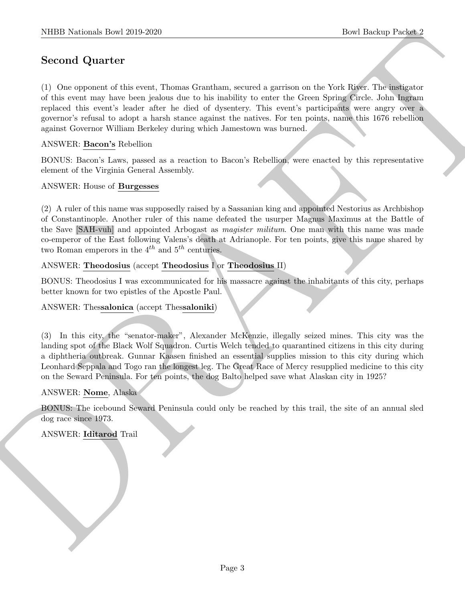# Second Quarter

SIBD Notionals how 2019-2269<br>
Second Quarter<br>
C (3) one supposes of this cost, Theorem is constraint, resulted a particular that both figure the both figure<br>
C (3) source are lower form the sole of deventory this cost of (1) One opponent of this event, Thomas Grantham, secured a garrison on the York River. The instigator of this event may have been jealous due to his inability to enter the Green Spring Circle. John Ingram replaced this event's leader after he died of dysentery. This event's participants were angry over a governor's refusal to adopt a harsh stance against the natives. For ten points, name this 1676 rebellion against Governor William Berkeley during which Jamestown was burned.

#### ANSWER: Bacon's Rebellion

BONUS: Bacon's Laws, passed as a reaction to Bacon's Rebellion, were enacted by this representative element of the Virginia General Assembly.

#### ANSWER: House of Burgesses

(2) A ruler of this name was supposedly raised by a Sassanian king and appointed Nestorius as Archbishop of Constantinople. Another ruler of this name defeated the usurper Magnus Maximus at the Battle of the Save [SAH-vuh] and appointed Arbogast as magister militum. One man with this name was made co-emperor of the East following Valens's death at Adrianople. For ten points, give this name shared by two Roman emperors in the  $4^{th}$  and  $5^{th}$  centuries.

#### ANSWER: Theodosius (accept Theodosius  $I$  or Theodosius II)

BONUS: Theodosius I was excommunicated for his massacre against the inhabitants of this city, perhaps better known for two epistles of the Apostle Paul.

#### ANSWER: Thessalonica (accept Thessaloniki)

(3) In this city, the "senator-maker", Alexander McKenzie, illegally seized mines. This city was the landing spot of the Black Wolf Squadron. Curtis Welch tended to quarantined citizens in this city during a diphtheria outbreak. Gunnar Kaasen finished an essential supplies mission to this city during which Leonhard Seppala and Togo ran the longest leg. The Great Race of Mercy resupplied medicine to this city on the Seward Peninsula. For ten points, the dog Balto helped save what Alaskan city in 1925?

#### ANSWER: Nome, Alaska

BONUS: The icebound Seward Peninsula could only be reached by this trail, the site of an annual sled dog race since 1973.

ANSWER: Iditarod Trail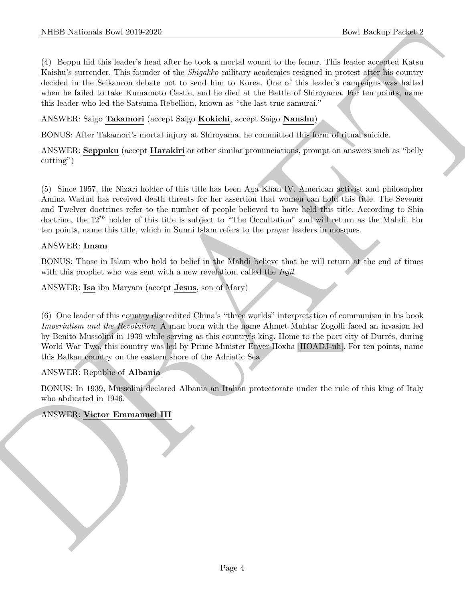NIBER Notionals How 2019-2020<br>
(For Hostiny Press 2)<br>
(For Hostiny Press 2)<br>
(Fig. Berns Lind, Hosting Mark in the K carried, somally the simulation<br>
(K denote a more of the following the Space of the system workers restr (4) Beppu hid this leader's head after he took a mortal wound to the femur. This leader accepted Katsu Kaishu's surrender. This founder of the Shigakko military academies resigned in protest after his country decided in the Seikanron debate not to send him to Korea. One of this leader's campaigns was halted when he failed to take Kumamoto Castle, and he died at the Battle of Shiroyama. For ten points, name this leader who led the Satsuma Rebellion, known as "the last true samurai."

ANSWER: Saigo Takamori (accept Saigo Kokichi, accept Saigo Nanshu)

BONUS: After Takamori's mortal injury at Shiroyama, he committed this form of ritual suicide.

ANSWER: Seppuku (accept Harakiri or other similar pronunciations, prompt on answers such as "belly cutting")

(5) Since 1957, the Nizari holder of this title has been Aga Khan IV. American activist and philosopher Amina Wadud has received death threats for her assertion that women can hold this title. The Sevener and Twelver doctrines refer to the number of people believed to have held this title. According to Shia doctrine, the  $12^{th}$  holder of this title is subject to "The Occultation" and will return as the Mahdi. For ten points, name this title, which in Sunni Islam refers to the prayer leaders in mosques.

#### ANSWER: Imam

BONUS: Those in Islam who hold to belief in the Mahdi believe that he will return at the end of times with this prophet who was sent with a new revelation, called the *Injil*.

ANSWER: Isa ibn Maryam (accept Jesus, son of Mary)

(6) One leader of this country discredited China's "three worlds" interpretation of communism in his book Imperialism and the Revolution. A man born with the name Ahmet Muhtar Zogolli faced an invasion led by Benito Mussolini in 1939 while serving as this country's king. Home to the port city of Durrës, during World War Two, this country was led by Prime Minister Enver Hoxha [HOADJ-uh]. For ten points, name this Balkan country on the eastern shore of the Adriatic Sea.

#### ANSWER: Republic of Albania

BONUS: In 1939, Mussolini declared Albania an Italian protectorate under the rule of this king of Italy who abdicated in 1946.

#### ANSWER: Victor Emmanuel III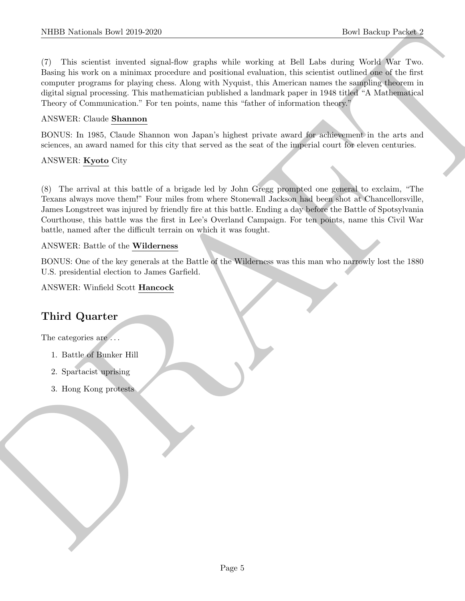NIBER Northern Librer 2019.2020<br>
The United Hermital Control density the settler weights at ESR (Eds.) We<br>set the result of the set of the first control of the settler weight of<br>the density of the first symptoms are photo (7) This scientist invented signal-flow graphs while working at Bell Labs during World War Two. Basing his work on a minimax procedure and positional evaluation, this scientist outlined one of the first computer programs for playing chess. Along with Nyquist, this American names the sampling theorem in digital signal processing. This mathematician published a landmark paper in 1948 titled "A Mathematical Theory of Communication." For ten points, name this "father of information theory."

## ANSWER: Claude Shannon

BONUS: In 1985, Claude Shannon won Japan's highest private award for achievement in the arts and sciences, an award named for this city that served as the seat of the imperial court for eleven centuries.

## ANSWER: Kyoto City

(8) The arrival at this battle of a brigade led by John Gregg prompted one general to exclaim, "The Texans always move them!" Four miles from where Stonewall Jackson had been shot at Chancellorsville, James Longstreet was injured by friendly fire at this battle. Ending a day before the Battle of Spotsylvania Courthouse, this battle was the first in Lee's Overland Campaign. For ten points, name this Civil War battle, named after the difficult terrain on which it was fought.

## ANSWER: Battle of the Wilderness

BONUS: One of the key generals at the Battle of the Wilderness was this man who narrowly lost the 1880 U.S. presidential election to James Garfield.

ANSWER: Winfield Scott Hancock

# Third Quarter

The categories are  $\dots$ 

- 1. Battle of Bunker Hill
- 2. Spartacist uprising
- 3. Hong Kong protests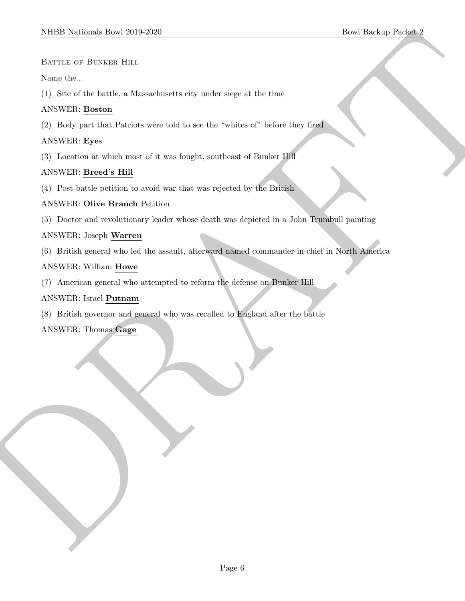#### BATTLE OF BUNKER HILL

#### Name the...

(1) Site of the battle, a Massachusetts city under siege at the time

### ANSWER: Boston

(2) Body part that Patriots were told to see the "whites of" before they fired

#### ANSWER: Eyes

(3) Location at which most of it was fought, southeast of Bunker Hill

#### ANSWER: Breed's Hill

(4) Post-battle petition to avoid war that was rejected by the British

#### ANSWER: Olive Branch Petition

(5) Doctor and revolutionary leader whose death was depicted in a John Trumbull painting

#### ANSWER: Joseph Warren

SIDDI Notional: Download Lines 2019-2020<br>
Bower the care of Boston, Hint<br>
Share the backle, a Manachumster city under sings at the sine<br>
(1) Sin of the backle, a Manachumster city under sings at the sine<br>
(2) Easty and tu (6) British general who led the assault, afterward named commander-in-chief in North America

#### ANSWER: William Howe

(7) American general who attempted to reform the defense on Bunker Hill

#### ANSWER: Israel Putnam

(8) British governor and general who was recalled to England after the battle

ANSWER: Thomas Gage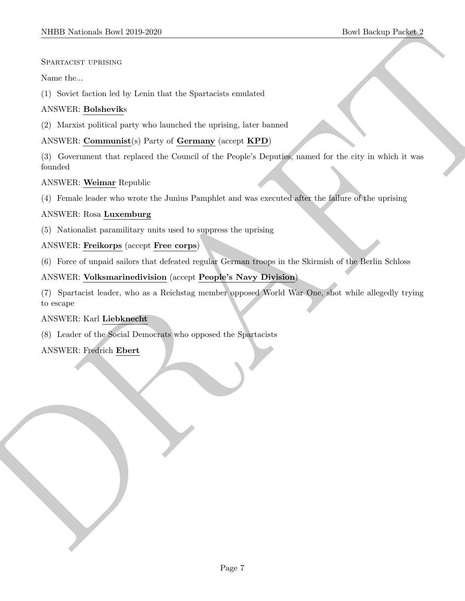#### Spartacist uprising

#### Name the...

(1) Soviet faction led by Lenin that the Spartacists emulated

## ANSWER: Bolsheviks

(2) Marxist political party who launched the uprising, later banned

## ANSWER: Communist(s) Party of Germany (accept KPD)

(3) Government that replaced the Council of the People's Deputies, named for the city in which it was founded

#### ANSWER: Weimar Republic

(4) Female leader who wrote the Junius Pamphlet and was executed after the failure of the uprising

#### ANSWER: Rosa Luxemburg

(5) Nationalist paramilitary units used to suppress the uprising

#### ANSWER: Freikorps (accept Free corps)

(6) Force of unpaid sailors that defeated regular German troops in the Skirmish of the Berlin Schloss

## ANSWER: Volksmarinedivision (accept People's Navy Division)

SIDD Neishan- how 2019-2020<br>
Securities use and the Spartacular condition<br>
Securities the second state of Length and the Spartacular condition<br>
(1) Society Radio with the Spartacular disc condition<br>
(2) Maxim-spatial part (7) Spartacist leader, who as a Reichstag member opposed World War One, shot while allegedly trying to escape

#### ANSWER: Karl Liebknecht

(8) Leader of the Social Democrats who opposed the Spartacists

## ANSWER: Fredrich Ebert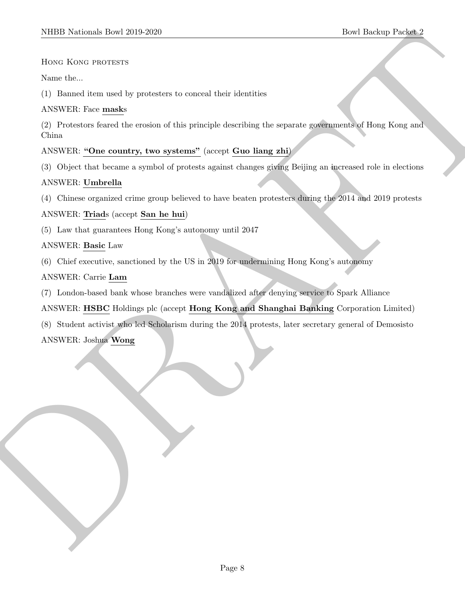#### HONG KONG PROTESTS

Name the...

(1) Banned item used by protesters to conceal their identities

#### ANSWER: Face masks

SIDD Notional: Deal 2019-2020<br>
How holes, and the procedure is more) that identifies<br>
No. 2018 Deal (2019-2020)<br>
A SWER From make we colour of this principal describes the sequence spring and (Final Kong and<br>
CF Theorem m (2) Protestors feared the erosion of this principle describing the separate governments of Hong Kong and China

## ANSWER: "One country, two systems" (accept Guo liang zhi)

(3) Object that became a symbol of protests against changes giving Beijing an increased role in elections

#### ANSWER: Umbrella

(4) Chinese organized crime group believed to have beaten protesters during the 2014 and 2019 protests

#### ANSWER: Triads (accept San he hui)

(5) Law that guarantees Hong Kong's autonomy until 2047

#### ANSWER: Basic Law

(6) Chief executive, sanctioned by the US in 2019 for undermining Hong Kong's autonomy

#### ANSWER: Carrie Lam

- (7) London-based bank whose branches were vandalized after denying service to Spark Alliance
- ANSWER: HSBC Holdings plc (accept Hong Kong and Shanghai Banking Corporation Limited)
- (8) Student activist who led Scholarism during the 2014 protests, later secretary general of Demosisto

## ANSWER: Joshua Wong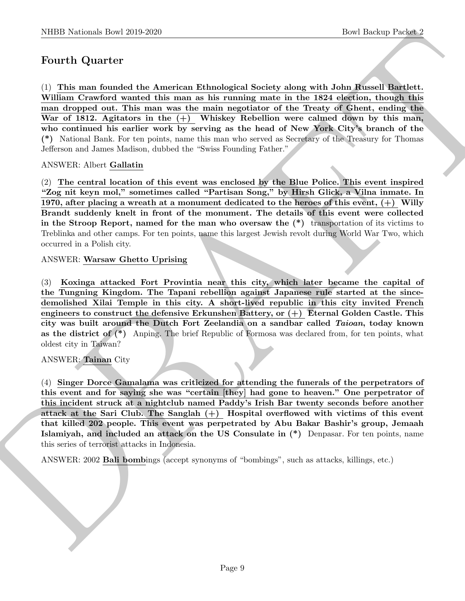# Fourth Quarter

NIBB Noticeals how 20:0 2250<br>
Down Hosting Research board and the mass and solid specified solid specified solid board function 2<br>
The mass control would be a American Echanological Society along with John Hostel Barbell, (1) This man founded the American Ethnological Society along with John Russell Bartlett. William Crawford wanted this man as his running mate in the 1824 election, though this man dropped out. This man was the main negotiator of the Treaty of Ghent, ending the War of 1812. Agitators in the  $(+)$  Whiskey Rebellion were calmed down by this man, who continued his earlier work by serving as the head of New York City's branch of the (\*) National Bank. For ten points, name this man who served as Secretary of the Treasury for Thomas Jefferson and James Madison, dubbed the "Swiss Founding Father."

#### ANSWER: Albert Gallatin

(2) The central location of this event was enclosed by the Blue Police. This event inspired "Zog nit keyn mol," sometimes called "Partisan Song," by Hirsh Glick, a Vilna inmate. In 1970, after placing a wreath at a monument dedicated to the heroes of this event,  $(+)$  Willy Brandt suddenly knelt in front of the monument. The details of this event were collected in the Stroop Report, named for the man who oversaw the  $(*)$  transportation of its victims to Treblinka and other camps. For ten points, name this largest Jewish revolt during World War Two, which occurred in a Polish city.

#### ANSWER: Warsaw Ghetto Uprising

(3) Koxinga attacked Fort Provintia near this city, which later became the capital of the Tungning Kingdom. The Tapani rebellion against Japanese rule started at the sincedemolished Xilai Temple in this city. A short-lived republic in this city invited French engineers to construct the defensive Erkunshen Battery, or  $(+)$  Eternal Golden Castle. This city was built around the Dutch Fort Zeelandia on a sandbar called Taioan, today known as the district of  $(*)$  Anping. The brief Republic of Formosa was declared from, for ten points, what oldest city in Taiwan?

#### ANSWER: Tainan City

(4) Singer Dorce Gamalama was criticized for attending the funerals of the perpetrators of this event and for saying she was "certain [they] had gone to heaven." One perpetrator of this incident struck at a nightclub named Paddy's Irish Bar twenty seconds before another attack at the Sari Club. The Sanglah  $(+)$  Hospital overflowed with victims of this event that killed 202 people. This event was perpetrated by Abu Bakar Bashir's group, Jemaah Islamiyah, and included an attack on the US Consulate in (\*) Denpasar. For ten points, name this series of terrorist attacks in Indonesia.

ANSWER: 2002 Bali bombings (accept synonyms of "bombings", such as attacks, killings, etc.)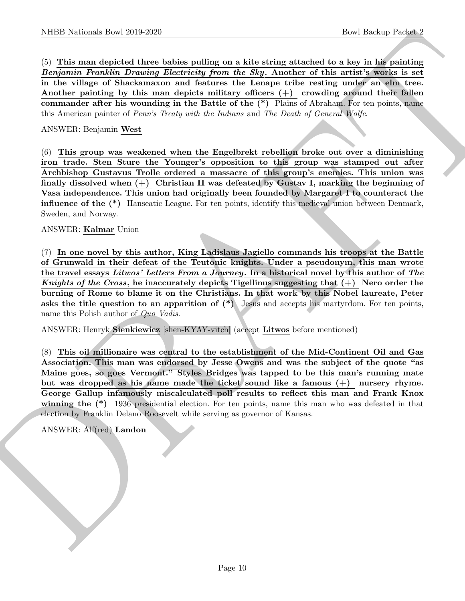(5) This man depicted three babies pulling on a kite string attached to a key in his painting Benjamin Franklin Drawing Electricity from the Sky. Another of this artist's works is set in the village of Shackamaxon and features the Lenape tribe resting under an elm tree. Another painting by this man depicts military officers  $(+)$  crowding around their fallen commander after his wounding in the Battle of the (\*) Plains of Abraham. For ten points, name this American painter of Penn's Treaty with the Indians and The Death of General Wolfe.

#### ANSWER: Benjamin West

(6) This group was weakened when the Engelbrekt rebellion broke out over a diminishing iron trade. Sten Sture the Younger's opposition to this group was stamped out after Archbishop Gustavus Trolle ordered a massacre of this group's enemies. This union was finally dissolved when  $(+)$  Christian II was defeated by Gustav I, marking the beginning of Vasa independence. This union had originally been founded by Margaret I to counteract the influence of the (\*) Hanseatic League. For ten points, identify this medieval union between Denmark, Sweden, and Norway.

#### ANSWER: Kalmar Union

NIBED Notionals how 22:0 22:0<br>
(best lineing to 22:0 22:0<br>
(b) This man densities pointing on a kits string attended to a key in the first<br>manner are considered through *Thericolay from the Styp.* Another of this arcivity (7) In one novel by this author, King Ladislaus Jagiello commands his troops at the Battle of Grunwald in their defeat of the Teutonic knights. Under a pseudonym, this man wrote the travel essays Litwos' Letters From a Journey. In a historical novel by this author of The Knights of the Cross, he inaccurately depicts Tigellinus suggesting that  $(+)$  Nero order the burning of Rome to blame it on the Christians. In that work by this Nobel laureate, Peter asks the title question to an apparition of  $(*)$  Jesus and accepts his martyrdom. For ten points, name this Polish author of Quo Vadis.

ANSWER: Henryk Sienkiewicz [shen-KYAY-vitch] (accept Litwos before mentioned)

(8) This oil millionaire was central to the establishment of the Mid-Continent Oil and Gas Association. This man was endorsed by Jesse Owens and was the subject of the quote "as Maine goes, so goes Vermont." Styles Bridges was tapped to be this man's running mate but was dropped as his name made the ticket sound like a famous (+) nursery rhyme. George Gallup infamously miscalculated poll results to reflect this man and Frank Knox winning the (\*) 1936 presidential election. For ten points, name this man who was defeated in that election by Franklin Delano Roosevelt while serving as governor of Kansas.

ANSWER: Alf(red) Landon